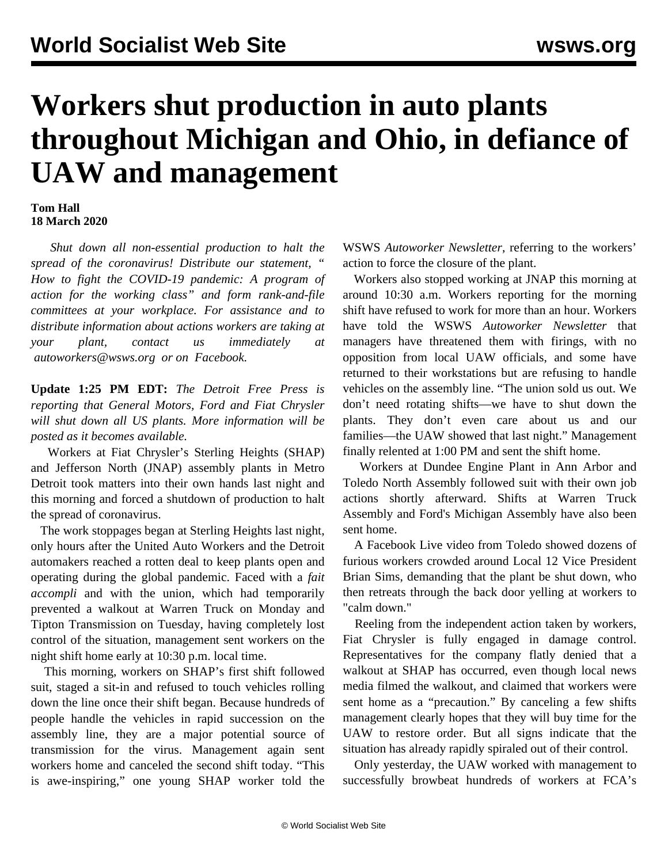## **Workers shut production in auto plants throughout Michigan and Ohio, in defiance of UAW and management**

## **Tom Hall 18 March 2020**

 *Shut down all non-essential production to halt the spread of the coronavirus! Distribute our statement, " [How to fight the COVID-19 pandemic: A program of](/en/articles/2020/03/17/pers-m17.html) [action for the working class"](/en/articles/2020/03/17/pers-m17.html) and form rank-and-file committees at your workplace. For assistance and to distribute information about actions workers are taking at your plant, contact us immediately at [autoworkers@wsws.org](mailto:autoworkers@wsws.org) or on [Facebook.](https://www.facebook.com/autoworker.newsletter/)*

**Update 1:25 PM EDT:** *The Detroit Free Press is reporting that General Motors, Ford and Fiat Chrysler will shut down all US plants. More information will be posted as it becomes available.*

 Workers at Fiat Chrysler's Sterling Heights (SHAP) and Jefferson North (JNAP) assembly plants in Metro Detroit took matters into their own hands last night and this morning and forced a shutdown of production to halt the spread of coronavirus.

 The work stoppages began at Sterling Heights last night, only hours after the United Auto Workers and the Detroit automakers reached a [rotten deal](/en/articles/2020/03/18/tipt-m18.html) to keep plants open and operating during the global pandemic. Faced with a *fait accompli* and with the union, which had temporarily prevented a walkout at Warren Truck on Monday and Tipton Transmission on Tuesday, having completely lost control of the situation, management sent workers on the night shift home early at 10:30 p.m. local time.

 This morning, workers on SHAP's first shift followed suit, staged a sit-in and refused to touch vehicles rolling down the line once their shift began. Because hundreds of people handle the vehicles in rapid succession on the assembly line, they are a major potential source of transmission for the virus. Management again sent workers home and canceled the second shift today. "This is awe-inspiring," one young SHAP worker told the

WSWS *Autoworker Newsletter*, referring to the workers' action to force the closure of the plant.

 Workers also stopped working at JNAP this morning at around 10:30 a.m. Workers reporting for the morning shift have refused to work for more than an hour. Workers have told the WSWS *Autoworker Newsletter* that managers have threatened them with firings, with no opposition from local UAW officials, and some have returned to their workstations but are refusing to handle vehicles on the assembly line. "The union sold us out. We don't need rotating shifts—we have to shut down the plants. They don't even care about us and our families—the UAW showed that last night." Management finally relented at 1:00 PM and sent the shift home.

 Workers at Dundee Engine Plant in Ann Arbor and Toledo North Assembly followed suit with their own job actions shortly afterward. Shifts at Warren Truck Assembly and Ford's Michigan Assembly have also been sent home.

 A Facebook Live video from Toledo showed dozens of furious workers crowded around Local 12 Vice President Brian Sims, demanding that the plant be shut down, who then retreats through the back door yelling at workers to "calm down."

 Reeling from the independent action taken by workers, Fiat Chrysler is fully engaged in damage control. Representatives for the company flatly denied that a walkout at SHAP has occurred, even though local news media [filmed](https://www.fox2detroit.com/news/fca-workers-walk-off-the-job-after-employee-tests-positive) the walkout, and claimed that workers were sent home as a "precaution." By canceling a few shifts management clearly hopes that they will buy time for the UAW to restore order. But all signs indicate that the situation has already rapidly spiraled out of their control.

 Only yesterday, the UAW worked with management to successfully browbeat hundreds of workers at FCA's